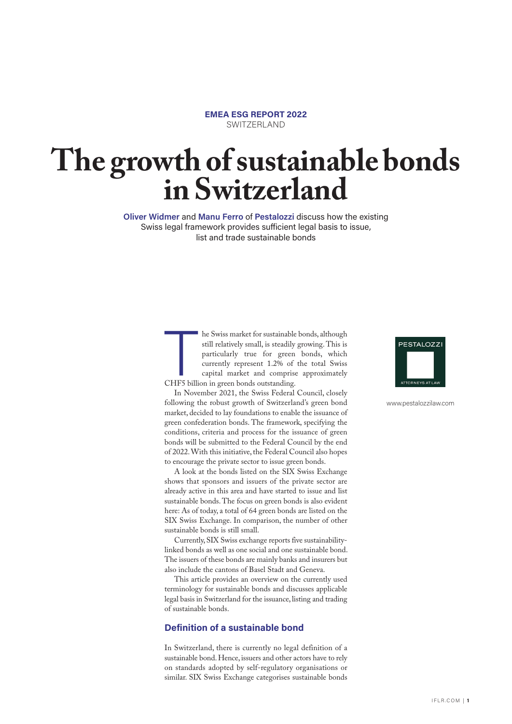#### **EMEA ESG REPORT 2022** SWITZERLAND

# **The growth of sustainable bonds in Switzerland**

**Oliver Widmer** and **Manu Ferro** of **Pestalozzi** discuss how the existing Swiss legal framework provides sufficient legal basis to issue, list and trade sustainable bonds

> T he Swiss market for sustainable bonds, although still relatively small, is steadily growing. This is particularly true for green bonds, which currently represent 1.2% of the total Swiss capital market and comprise approximately CHF5 billion in green bonds outstanding.

> In November 2021, the Swiss Federal Council, closely following the robust growth of Switzerland's green bond market, decided to lay foundations to enable the issuance of green confederation bonds. The framework, specifying the conditions, criteria and process for the issuance of green bonds will be submitted to the Federal Council by the end of 2022. With this initiative, the Federal Council also hopes to encourage the private sector to issue green bonds.

> A look at the bonds listed on the SIX Swiss Exchange shows that sponsors and issuers of the private sector are already active in this area and have started to issue and list sustainable bonds. The focus on green bonds is also evident here: As of today, a total of 64 green bonds are listed on the SIX Swiss Exchange. In comparison, the number of other sustainable bonds is still small.

> Currently, SIX Swiss exchange reports five sustainabilitylinked bonds as well as one social and one sustainable bond. The issuers of these bonds are mainly banks and insurers but also include the cantons of Basel Stadt and Geneva.

> This article provides an overview on the currently used terminology for sustainable bonds and discusses applicable legal basis in Switzerland for the issuance, listing and trading of sustainable bonds.

## **Definition of a sustainable bond**

In Switzerland, there is currently no legal definition of a sustainable bond. Hence, issuers and other actors have to rely on standards adopted by self-regulatory organisations or similar. SIX Swiss Exchange categorises sustainable bonds



www.pestalozzilaw.com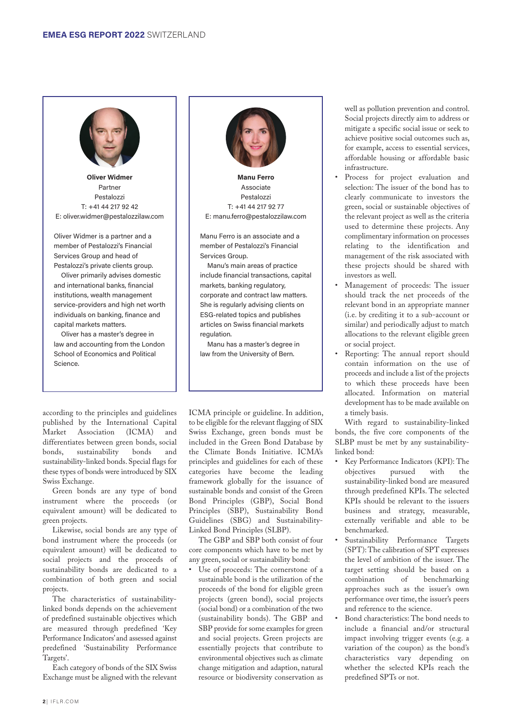

**Oliver Widmer** Partner Pestalozzi T: +41 44 217 92 42 E: oliver.widmer@pestalozzilaw.com

Oliver Widmer is a partner and a member of Pestalozzi's Financial Services Group and head of Pestalozzi's private clients group.

Oliver primarily advises domestic and international banks, financial institutions, wealth management service-providers and high net worth individuals on banking, finance and capital markets matters.

Oliver has a master's degree in law and accounting from the London School of Economics and Political Science.



**Manu Ferro** Associate Pestalozzi T: +41 44 217 92 77 E: manu.ferro@pestalozzilaw.com

Manu Ferro is an associate and a member of Pestalozzi's Financial Services Group.

Manu's main areas of practice include financial transactions, capital markets, banking regulatory, corporate and contract law matters. She is regularly advising clients on ESG-related topics and publishes articles on Swiss financial markets regulation.

Manu has a master's degree in law from the University of Bern.

according to the principles and guidelines published by the International Capital Market Association (ICMA) and differentiates between green bonds, social bonds, sustainability bonds and sustainability-linked bonds. Special flags for these types of bonds were introduced by SIX Swiss Exchange.

Green bonds are any type of bond instrument where the proceeds (or equivalent amount) will be dedicated to green projects.

Likewise, social bonds are any type of bond instrument where the proceeds (or equivalent amount) will be dedicated to social projects and the proceeds of sustainability bonds are dedicated to a combination of both green and social projects.

The characteristics of sustainabilitylinked bonds depends on the achievement of predefined sustainable objectives which are measured through predefined 'Key Performance Indicators' and assessed against predefined 'Sustainability Performance Targets'.

Each category of bonds of the SIX Swiss Exchange must be aligned with the relevant

ICMA principle or guideline. In addition, to be eligible for the relevant flagging of SIX Swiss Exchange, green bonds must be included in the Green Bond Database by the Climate Bonds Initiative. ICMA's principles and guidelines for each of these categories have become the leading framework globally for the issuance of sustainable bonds and consist of the Green Bond Principles (GBP), Social Bond Principles (SBP), Sustainability Bond Guidelines (SBG) and Sustainability-Linked Bond Principles (SLBP).

The GBP and SBP both consist of four core components which have to be met by any green, social or sustainability bond:

Use of proceeds: The cornerstone of a sustainable bond is the utilization of the proceeds of the bond for eligible green projects (green bond), social projects (social bond) or a combination of the two (sustainability bonds). The GBP and SBP provide for some examples for green and social projects. Green projects are essentially projects that contribute to environmental objectives such as climate change mitigation and adaption, natural resource or biodiversity conservation as

well as pollution prevention and control. Social projects directly aim to address or mitigate a specific social issue or seek to achieve positive social outcomes such as, for example, access to essential services, affordable housing or affordable basic infrastructure.

- Process for project evaluation and selection: The issuer of the bond has to clearly communicate to investors the green, social or sustainable objectives of the relevant project as well as the criteria used to determine these projects. Any complimentary information on processes relating to the identification and management of the risk associated with these projects should be shared with investors as well.
- Management of proceeds: The issuer should track the net proceeds of the relevant bond in an appropriate manner (i.e. by crediting it to a sub-account or similar) and periodically adjust to match allocations to the relevant eligible green or social project.
- Reporting: The annual report should contain information on the use of proceeds and include a list of the projects to which these proceeds have been allocated. Information on material development has to be made available on a timely basis.

With regard to sustainability-linked bonds, the five core components of the SLBP must be met by any sustainabilitylinked bond:

- Key Performance Indicators (KPI): The objectives pursued with the sustainability-linked bond are measured through predefined KPIs. The selected KPIs should be relevant to the issuers business and strategy, measurable, externally verifiable and able to be benchmarked.
- Sustainability Performance Targets (SPT): The calibration of SPT expresses the level of ambition of the issuer. The target setting should be based on a combination of benchmarking approaches such as the issuer's own performance over time, the issuer's peers and reference to the science.
- Bond characteristics: The bond needs to include a financial and/or structural impact involving trigger events (e.g. a variation of the coupon) as the bond's characteristics vary depending on whether the selected KPIs reach the predefined SPTs or not.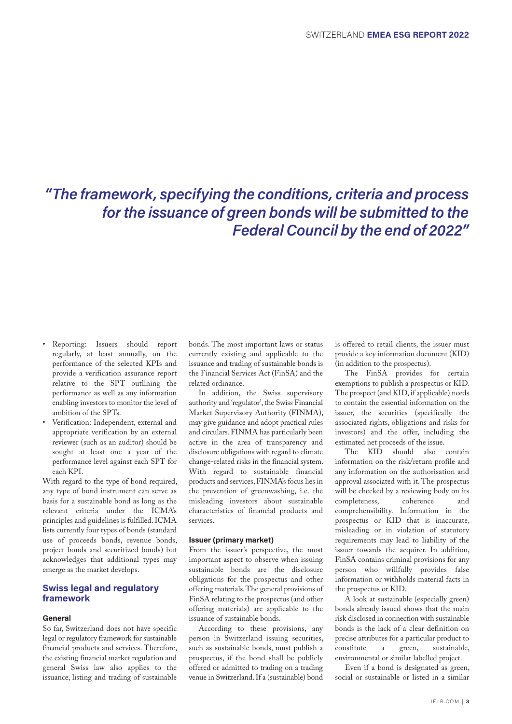# *"The framework, specifying the conditions, criteria and process for the issuance of green bonds will be submitted to the Federal Council by the end of 2022"*

- Reporting: Issuers should report regularly, at least annually, on the performance of the selected KPIs and provide a verification assurance report relative to the SPT outlining the performance as well as any information enabling investors to monitor the level of ambition of the SPTs.
- Verification: Independent, external and appropriate verification by an external reviewer (such as an auditor) should be sought at least one a year of the performance level against each SPT for each KPI.

With regard to the type of bond required, any type of bond instrument can serve as basis for a sustainable bond as long as the relevant criteria under the ICMA's principles and guidelines is fulfilled. ICMA lists currently four types of bonds (standard use of proceeds bonds, revenue bonds, project bonds and securitized bonds) but acknowledges that additional types may emerge as the market develops.

#### **Swiss legal and regulatory framework**

#### **General**

So far, Switzerland does not have specific legal or regulatory framework for sustainable financial products and services. Therefore, the existing financial market regulation and general Swiss law also applies to the issuance, listing and trading of sustainable bonds. The most important laws or status currently existing and applicable to the issuance and trading of sustainable bonds is the Financial Services Act (FinSA) and the related ordinance.

In addition, the Swiss supervisory authority and 'regulator', the Swiss Financial Market Supervisory Authority (FINMA), may give guidance and adopt practical rules and circulars. FINMA has particularly been active in the area of transparency and disclosure obligations with regard to climate change-related risks in the financial system. With regard to sustainable financial products and services, FINMA's focus lies in the prevention of greenwashing, i.e. the misleading investors about sustainable characteristics of financial products and services.

#### **Issuer (primary market)**

From the issuer's perspective, the most important aspect to observe when issuing sustainable bonds are the disclosure obligations for the prospectus and other offering materials. The general provisions of FinSA relating to the prospectus (and other offering materials) are applicable to the issuance of sustainable bonds.

According to these provisions, any person in Switzerland issuing securities, such as sustainable bonds, must publish a prospectus, if the bond shall be publicly offered or admitted to trading on a trading venue in Switzerland. If a (sustainable) bond

is offered to retail clients, the issuer must provide a key information document (KID) (in addition to the prospectus).

The FinSA provides for certain exemptions to publish a prospectus or KID. The prospect (and KID, if applicable) needs to contain the essential information on the issuer, the securities (specifically the associated rights, obligations and risks for investors) and the offer, including the estimated net proceeds of the issue.

The KID should also contain information on the risk/return profile and any information on the authorisation and approval associated with it. The prospectus will be checked by a reviewing body on its completeness, coherence and comprehensibility. Information in the prospectus or KID that is inaccurate, misleading or in violation of statutory requirements may lead to liability of the issuer towards the acquirer. In addition, FinSA contains criminal provisions for any person who willfully provides false information or withholds material facts in the prospectus or KID.

A look at sustainable (especially green) bonds already issued shows that the main risk disclosed in connection with sustainable bonds is the lack of a clear definition on precise attributes for a particular product to constitute a green, sustainable, environmental or similar labelled project.

Even if a bond is designated as green, social or sustainable or listed in a similar